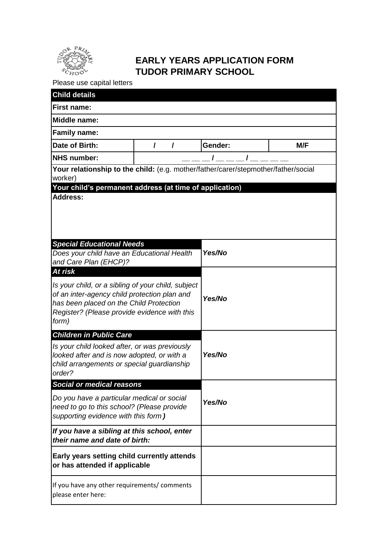

## **EARLY YEARS APPLICATION FORM TUDOR PRIMARY SCHOOL**

Please use capital letters

| <b>Child details</b>                                                                                                                                                                                              |        |         |     |  |  |
|-------------------------------------------------------------------------------------------------------------------------------------------------------------------------------------------------------------------|--------|---------|-----|--|--|
| <b>First name:</b>                                                                                                                                                                                                |        |         |     |  |  |
| <b>Middle name:</b>                                                                                                                                                                                               |        |         |     |  |  |
| <b>Family name:</b>                                                                                                                                                                                               |        |         |     |  |  |
| Date of Birth:                                                                                                                                                                                                    | I<br>I | Gender: | M/F |  |  |
| <b>NHS number:</b>                                                                                                                                                                                                |        |         |     |  |  |
| Your relationship to the child: (e.g. mother/father/carer/stepmother/father/social                                                                                                                                |        |         |     |  |  |
| worker)<br>Your child's permanent address (at time of application)                                                                                                                                                |        |         |     |  |  |
| <b>Address:</b><br><b>Special Educational Needs</b>                                                                                                                                                               |        |         |     |  |  |
| Does your child have an Educational Health<br>and Care Plan (EHCP)?                                                                                                                                               |        | Yes/No  |     |  |  |
| At risk<br>Is your child, or a sibling of your child, subject<br>of an inter-agency child protection plan and<br>has been placed on the Child Protection<br>Register? (Please provide evidence with this<br>form) |        | Yes/No  |     |  |  |
| <b>Children in Public Care</b><br>Is your child looked after, or was previously<br>looked after and is now adopted, or with a<br>child arrangements or special guardianship<br>order?                             |        | Yes/No  |     |  |  |
| Social or medical reasons                                                                                                                                                                                         |        |         |     |  |  |
| Do you have a particular medical or social<br>need to go to this school? (Please provide<br>supporting evidence with this form)                                                                                   |        | Yes/No  |     |  |  |
| If you have a sibling at this school, enter<br>their name and date of birth:                                                                                                                                      |        |         |     |  |  |
| Early years setting child currently attends<br>or has attended if applicable                                                                                                                                      |        |         |     |  |  |
| If you have any other requirements/ comments<br>please enter here:                                                                                                                                                |        |         |     |  |  |